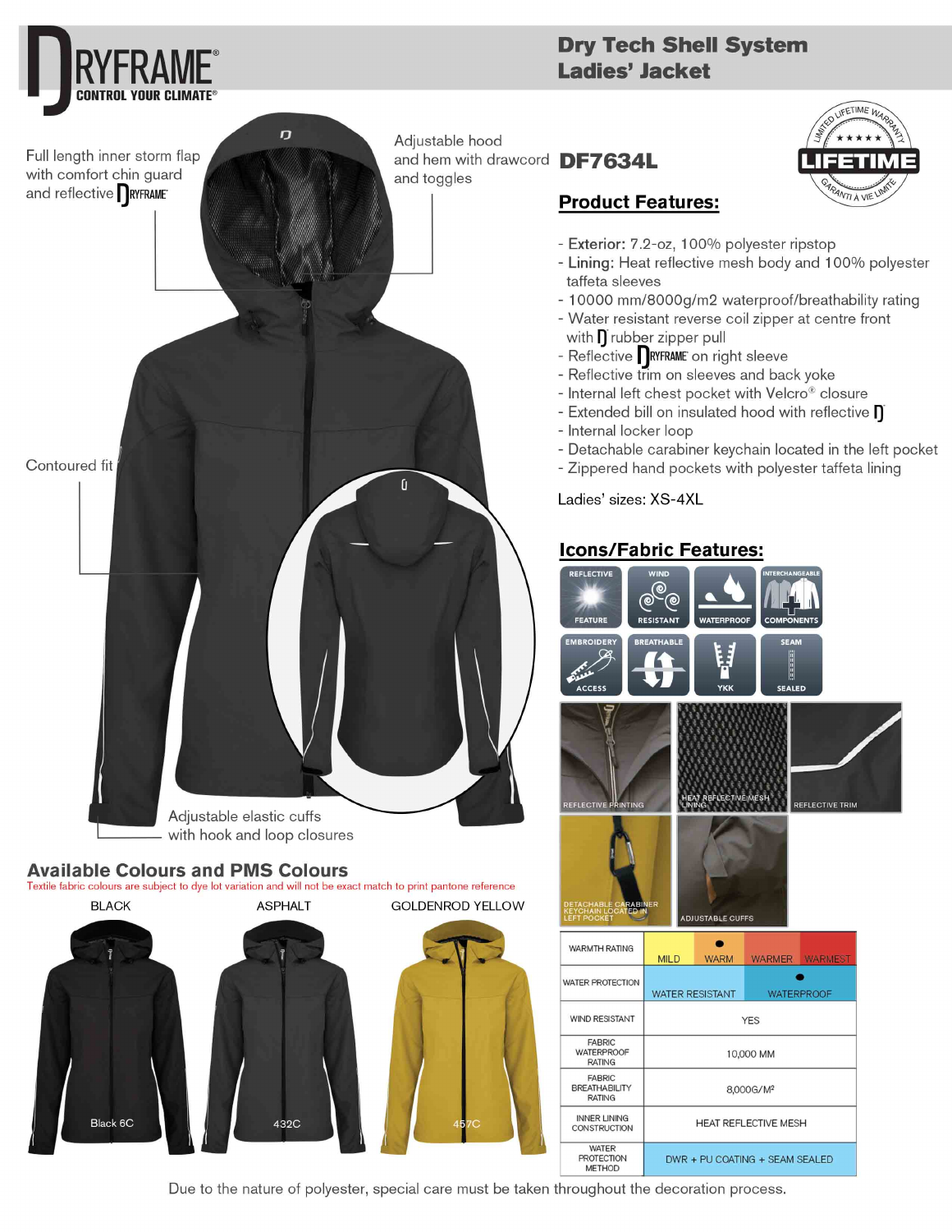

## **Dry Tech Shell System** Ladies' Jacket



# **Product Features:**

- Exterior: 7.2-oz, 100% polyester ripstop
- Lining: Heat reflective mesh body and 100% polyester taffeta sleeves
- 10000 mm/8000g/m2 waterproof/breathability rating
- Water resistant reverse coil zipper at centre front with  $\prod$  rubber zipper pull
- Reflective RYFRAME on right sleeve
- Reflective trim on sleeves and back yoke
- Internal left chest pocket with Velcro® closure
- Extended bill on insulated hood with reflective  $\prod$
- Internal locker loop
- Detachable carabiner keychain located in the left pocket
- Zippered hand pockets with polyester taffeta lining

Ladies' sizes: XS-4XL

## **Icons/Fabric Features:**



Due to the nature of polyester, special care must be taken throughout the decoration process.